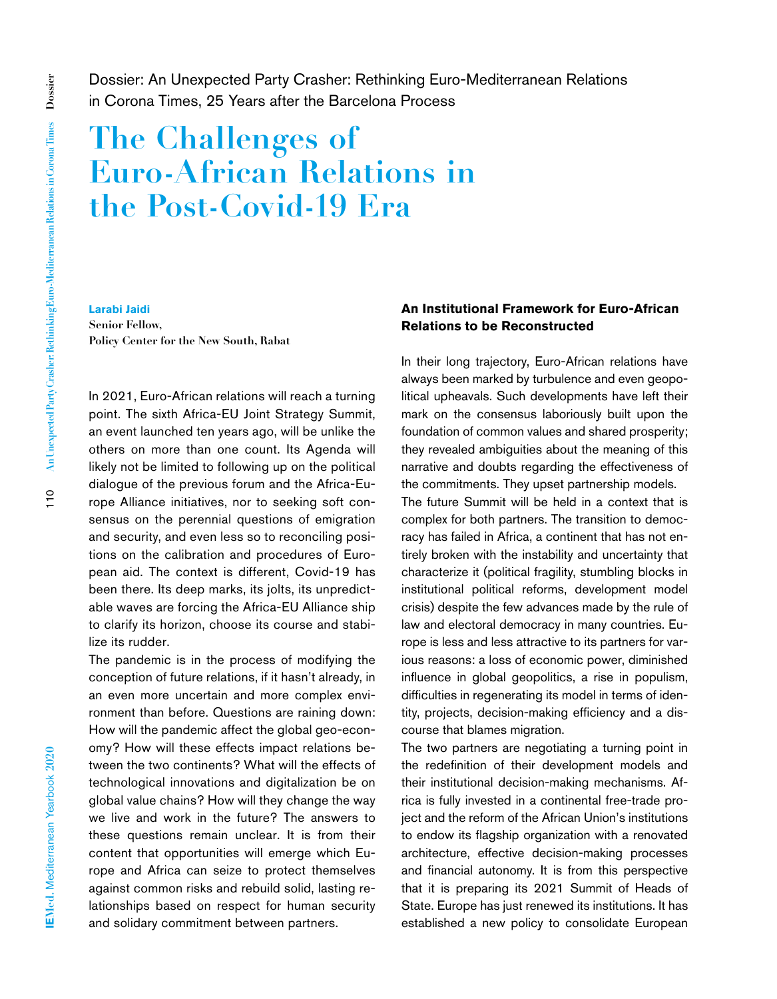Dossier: An Unexpected Party Crasher: Rethinking Euro-Mediterranean Relations in Corona Times, 25 Years after the Barcelona Process

# **The Challenges of Euro-African Relations in the Post-Covid-19 Era**

**Larabi Jaidi Senior Fellow, Policy Center for the New South, Rabat**

In 2021, Euro-African relations will reach a turning point. The sixth Africa-EU Joint Strategy Summit, an event launched ten years ago, will be unlike the others on more than one count. Its Agenda will likely not be limited to following up on the political dialogue of the previous forum and the Africa-Europe Alliance initiatives, nor to seeking soft consensus on the perennial questions of emigration and security, and even less so to reconciling positions on the calibration and procedures of European aid. The context is different, Covid-19 has been there. Its deep marks, its jolts, its unpredictable waves are forcing the Africa-EU Alliance ship to clarify its horizon, choose its course and stabilize its rudder.

The pandemic is in the process of modifying the conception of future relations, if it hasn't already, in an even more uncertain and more complex environment than before. Questions are raining down: How will the pandemic affect the global geo-economy? How will these effects impact relations between the two continents? What will the effects of technological innovations and digitalization be on global value chains? How will they change the way we live and work in the future? The answers to these questions remain unclear. It is from their content that opportunities will emerge which Europe and Africa can seize to protect themselves against common risks and rebuild solid, lasting relationships based on respect for human security and solidary commitment between partners.

## **An Institutional Framework for Euro-African Relations to be Reconstructed**

In their long trajectory, Euro-African relations have always been marked by turbulence and even geopolitical upheavals. Such developments have left their mark on the consensus laboriously built upon the foundation of common values and shared prosperity; they revealed ambiguities about the meaning of this narrative and doubts regarding the effectiveness of the commitments. They upset partnership models. The future Summit will be held in a context that is complex for both partners. The transition to democracy has failed in Africa, a continent that has not entirely broken with the instability and uncertainty that

characterize it (political fragility, stumbling blocks in institutional political reforms, development model crisis) despite the few advances made by the rule of law and electoral democracy in many countries. Europe is less and less attractive to its partners for various reasons: a loss of economic power, diminished influence in global geopolitics, a rise in populism, difficulties in regenerating its model in terms of identity, projects, decision-making efficiency and a discourse that blames migration.

The two partners are negotiating a turning point in the redefinition of their development models and their institutional decision-making mechanisms. Africa is fully invested in a continental free-trade project and the reform of the African Union's institutions to endow its flagship organization with a renovated architecture, effective decision-making processes and financial autonomy. It is from this perspective that it is preparing its 2021 Summit of Heads of State. Europe has just renewed its institutions. It has established a new policy to consolidate European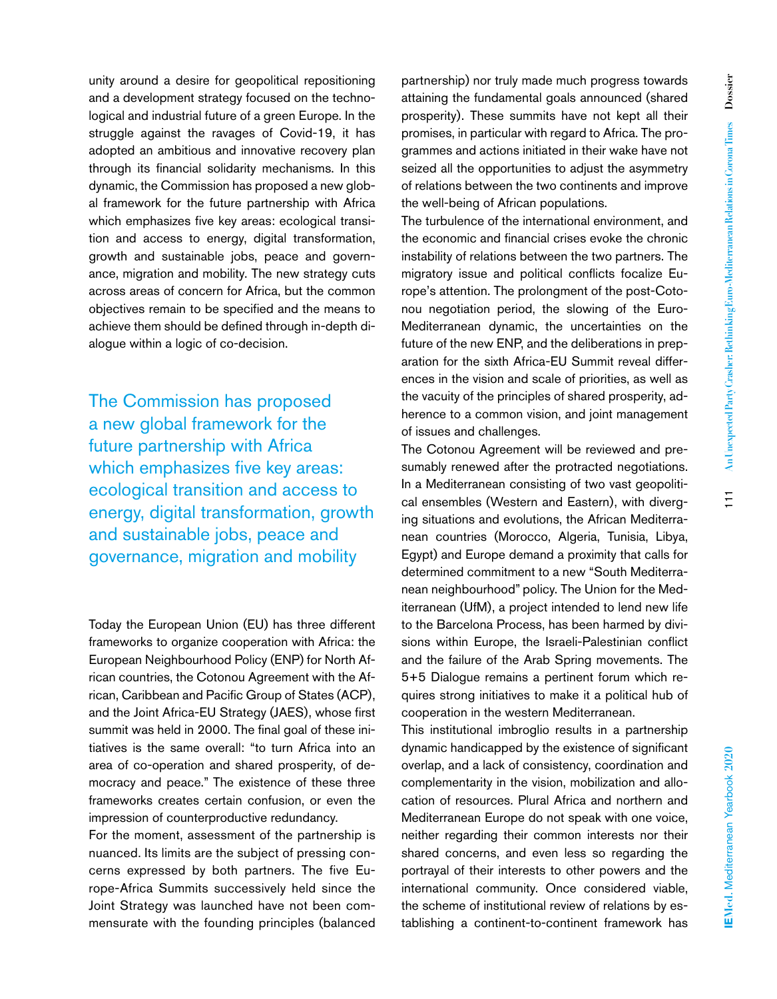unity around a desire for geopolitical repositioning and a development strategy focused on the technological and industrial future of a green Europe. In the struggle against the ravages of Covid-19, it has adopted an ambitious and innovative recovery plan through its financial solidarity mechanisms. In this dynamic, the Commission has proposed a new global framework for the future partnership with Africa which emphasizes five key areas: ecological transition and access to energy, digital transformation, growth and sustainable jobs, peace and governance, migration and mobility. The new strategy cuts across areas of concern for Africa, but the common objectives remain to be specified and the means to achieve them should be defined through in-depth dialogue within a logic of co-decision.

The Commission has proposed a new global framework for the future partnership with Africa which emphasizes five key areas: ecological transition and access to energy, digital transformation, growth and sustainable jobs, peace and governance, migration and mobility

Today the European Union (EU) has three different frameworks to organize cooperation with Africa: the European Neighbourhood Policy (ENP) for North African countries, the Cotonou Agreement with the African, Caribbean and Pacific Group of States (ACP), and the Joint Africa-EU Strategy (JAES), whose first summit was held in 2000. The final goal of these initiatives is the same overall: "to turn Africa into an area of co-operation and shared prosperity, of democracy and peace." The existence of these three frameworks creates certain confusion, or even the impression of counterproductive redundancy.

For the moment, assessment of the partnership is nuanced. Its limits are the subject of pressing concerns expressed by both partners. The five Europe-Africa Summits successively held since the Joint Strategy was launched have not been commensurate with the founding principles (balanced

partnership) nor truly made much progress towards attaining the fundamental goals announced (shared prosperity). These summits have not kept all their promises, in particular with regard to Africa. The programmes and actions initiated in their wake have not seized all the opportunities to adjust the asymmetry of relations between the two continents and improve the well-being of African populations.

The turbulence of the international environment, and the economic and financial crises evoke the chronic instability of relations between the two partners. The migratory issue and political conflicts focalize Europe's attention. The prolongment of the post-Cotonou negotiation period, the slowing of the Euro-Mediterranean dynamic, the uncertainties on the future of the new ENP, and the deliberations in preparation for the sixth Africa-EU Summit reveal differences in the vision and scale of priorities, as well as the vacuity of the principles of shared prosperity, adherence to a common vision, and joint management of issues and challenges.

The Cotonou Agreement will be reviewed and presumably renewed after the protracted negotiations. In a Mediterranean consisting of two vast geopolitical ensembles (Western and Eastern), with diverging situations and evolutions, the African Mediterranean countries (Morocco, Algeria, Tunisia, Libya, Egypt) and Europe demand a proximity that calls for determined commitment to a new "South Mediterranean neighbourhood" policy. The Union for the Mediterranean (UfM), a project intended to lend new life to the Barcelona Process, has been harmed by divisions within Europe, the Israeli-Palestinian conflict and the failure of the Arab Spring movements. The 5+5 Dialogue remains a pertinent forum which requires strong initiatives to make it a political hub of cooperation in the western Mediterranean.

This institutional imbroglio results in a partnership dynamic handicapped by the existence of significant overlap, and a lack of consistency, coordination and complementarity in the vision, mobilization and allocation of resources. Plural Africa and northern and Mediterranean Europe do not speak with one voice, neither regarding their common interests nor their shared concerns, and even less so regarding the portrayal of their interests to other powers and the international community. Once considered viable, the scheme of institutional review of relations by establishing a continent-to-continent framework has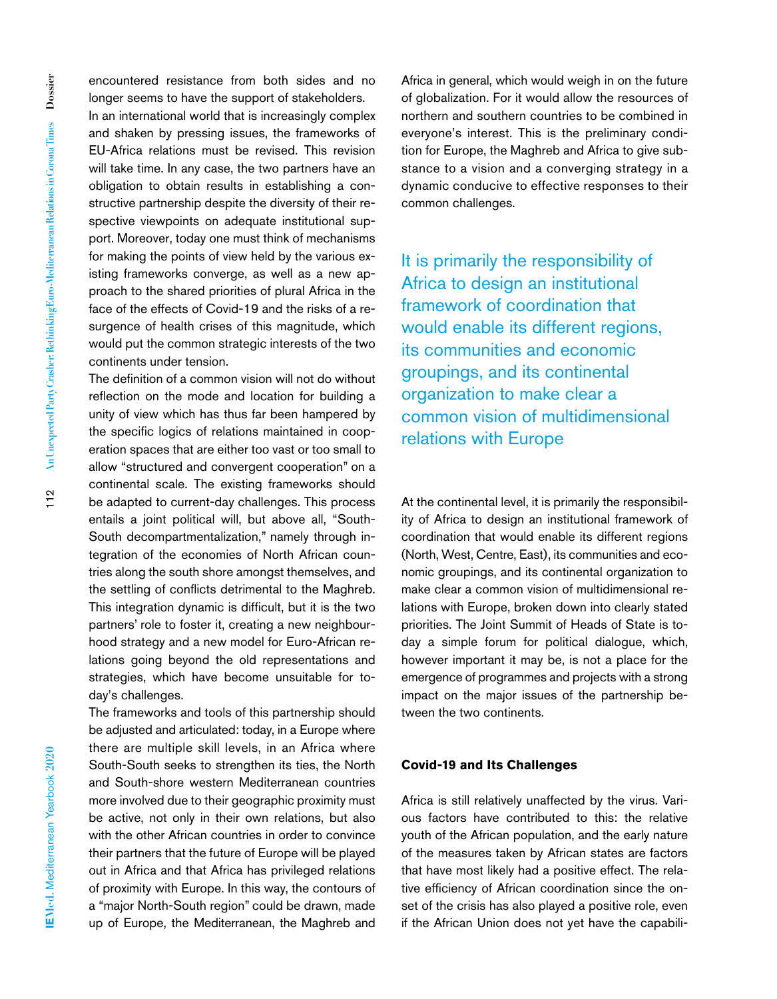encountered resistance from both sides and no longer seems to have the support of stakeholders.

In an international world that is increasingly complex and shaken by pressing issues, the frameworks of EU-Africa relations must be revised. This revision will take time. In any case, the two partners have an obligation to obtain results in establishing a constructive partnership despite the diversity of their respective viewpoints on adequate institutional support. Moreover, today one must think of mechanisms for making the points of view held by the various existing frameworks converge, as well as a new approach to the shared priorities of plural Africa in the face of the effects of Covid-19 and the risks of a resurgence of health crises of this magnitude, which would put the common strategic interests of the two continents under tension.

The definition of a common vision will not do without reflection on the mode and location for building a unity of view which has thus far been hampered by the specific logics of relations maintained in cooperation spaces that are either too vast or too small to allow "structured and convergent cooperation" on a continental scale. The existing frameworks should be adapted to current-day challenges. This process entails a joint political will, but above all, "South-South decompartmentalization," namely through integration of the economies of North African countries along the south shore amongst themselves, and the settling of conflicts detrimental to the Maghreb. This integration dynamic is difficult, but it is the two partners' role to foster it, creating a new neighbourhood strategy and a new model for Euro-African relations going beyond the old representations and strategies, which have become unsuitable for today's challenges.

The frameworks and tools of this partnership should be adjusted and articulated: today, in a Europe where there are multiple skill levels, in an Africa where South-South seeks to strengthen its ties, the North and South-shore western Mediterranean countries more involved due to their geographic proximity must be active, not only in their own relations, but also with the other African countries in order to convince their partners that the future of Europe will be played out in Africa and that Africa has privileged relations of proximity with Europe. In this way, the contours of a "major North-South region" could be drawn, made up of Europe, the Mediterranean, the Maghreb and Africa in general, which would weigh in on the future of globalization. For it would allow the resources of northern and southern countries to be combined in everyone's interest. This is the preliminary condition for Europe, the Maghreb and Africa to give substance to a vision and a converging strategy in a dynamic conducive to effective responses to their common challenges.

It is primarily the responsibility of Africa to design an institutional framework of coordination that would enable its different regions, its communities and economic groupings, and its continental organization to make clear a common vision of multidimensional relations with Europe

At the continental level, it is primarily the responsibility of Africa to design an institutional framework of coordination that would enable its different regions (North, West, Centre, East), its communities and economic groupings, and its continental organization to make clear a common vision of multidimensional relations with Europe, broken down into clearly stated priorities. The Joint Summit of Heads of State is today a simple forum for political dialogue, which, however important it may be, is not a place for the emergence of programmes and projects with a strong impact on the major issues of the partnership between the two continents.

#### **Covid-19 and Its Challenges**

Africa is still relatively unaffected by the virus. Various factors have contributed to this: the relative youth of the African population, and the early nature of the measures taken by African states are factors that have most likely had a positive effect. The relative efficiency of African coordination since the onset of the crisis has also played a positive role, even if the African Union does not yet have the capabili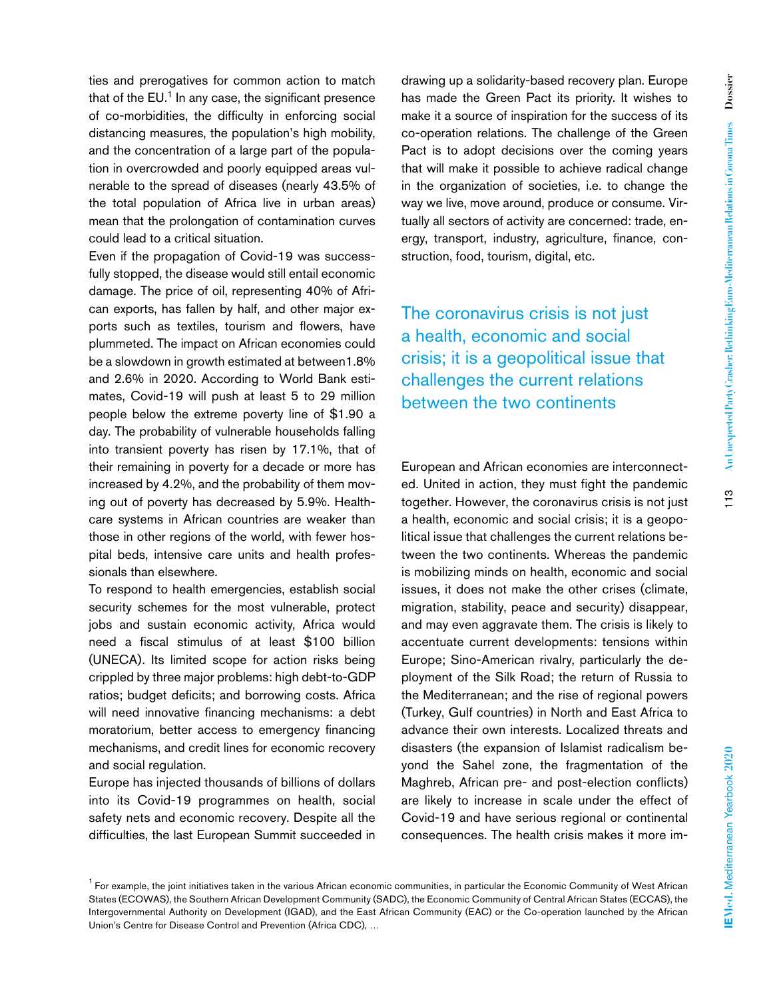ties and prerogatives for common action to match that of the  $EU$ <sup>1</sup> In any case, the significant presence of co-morbidities, the difficulty in enforcing social distancing measures, the population's high mobility, and the concentration of a large part of the population in overcrowded and poorly equipped areas vulnerable to the spread of diseases (nearly 43.5% of the total population of Africa live in urban areas) mean that the prolongation of contamination curves could lead to a critical situation.

Even if the propagation of Covid-19 was successfully stopped, the disease would still entail economic damage. The price of oil, representing 40% of African exports, has fallen by half, and other major exports such as textiles, tourism and flowers, have plummeted. The impact on African economies could be a slowdown in growth estimated at between1.8% and 2.6% in 2020. According to World Bank estimates, Covid-19 will push at least 5 to 29 million people below the extreme poverty line of \$1.90 a day. The probability of vulnerable households falling into transient poverty has risen by 17.1%, that of their remaining in poverty for a decade or more has increased by 4.2%, and the probability of them moving out of poverty has decreased by 5.9%. Healthcare systems in African countries are weaker than those in other regions of the world, with fewer hospital beds, intensive care units and health professionals than elsewhere.

To respond to health emergencies, establish social security schemes for the most vulnerable, protect jobs and sustain economic activity, Africa would need a fiscal stimulus of at least \$100 billion (UNECA). Its limited scope for action risks being crippled by three major problems: high debt-to-GDP ratios; budget deficits; and borrowing costs. Africa will need innovative financing mechanisms: a debt moratorium, better access to emergency financing mechanisms, and credit lines for economic recovery and social regulation.

Europe has injected thousands of billions of dollars into its Covid-19 programmes on health, social safety nets and economic recovery. Despite all the difficulties, the last European Summit succeeded in

drawing up a solidarity-based recovery plan. Europe has made the Green Pact its priority. It wishes to make it a source of inspiration for the success of its co-operation relations. The challenge of the Green Pact is to adopt decisions over the coming years that will make it possible to achieve radical change in the organization of societies, i.e. to change the way we live, move around, produce or consume. Virtually all sectors of activity are concerned: trade, energy, transport, industry, agriculture, finance, construction, food, tourism, digital, etc.

The coronavirus crisis is not just a health, economic and social crisis; it is a geopolitical issue that challenges the current relations between the two continents

European and African economies are interconnected. United in action, they must fight the pandemic together. However, the coronavirus crisis is not just a health, economic and social crisis; it is a geopolitical issue that challenges the current relations between the two continents. Whereas the pandemic is mobilizing minds on health, economic and social issues, it does not make the other crises (climate, migration, stability, peace and security) disappear, and may even aggravate them. The crisis is likely to accentuate current developments: tensions within Europe; Sino-American rivalry, particularly the deployment of the Silk Road; the return of Russia to the Mediterranean; and the rise of regional powers (Turkey, Gulf countries) in North and East Africa to advance their own interests. Localized threats and disasters (the expansion of Islamist radicalism beyond the Sahel zone, the fragmentation of the Maghreb, African pre- and post-election conflicts) are likely to increase in scale under the effect of Covid-19 and have serious regional or continental consequences. The health crisis makes it more im-

<sup>&</sup>lt;sup>1</sup> For example, the joint initiatives taken in the various African economic communities, in particular the Economic Community of West African States (ECOWAS), the Southern African Development Community (SADC), the Economic Community of Central African States (ECCAS), the Intergovernmental Authority on Development (IGAD), and the East African Community (EAC) or the Co-operation launched by the African Union's Centre for Disease Control and Prevention (Africa CDC), …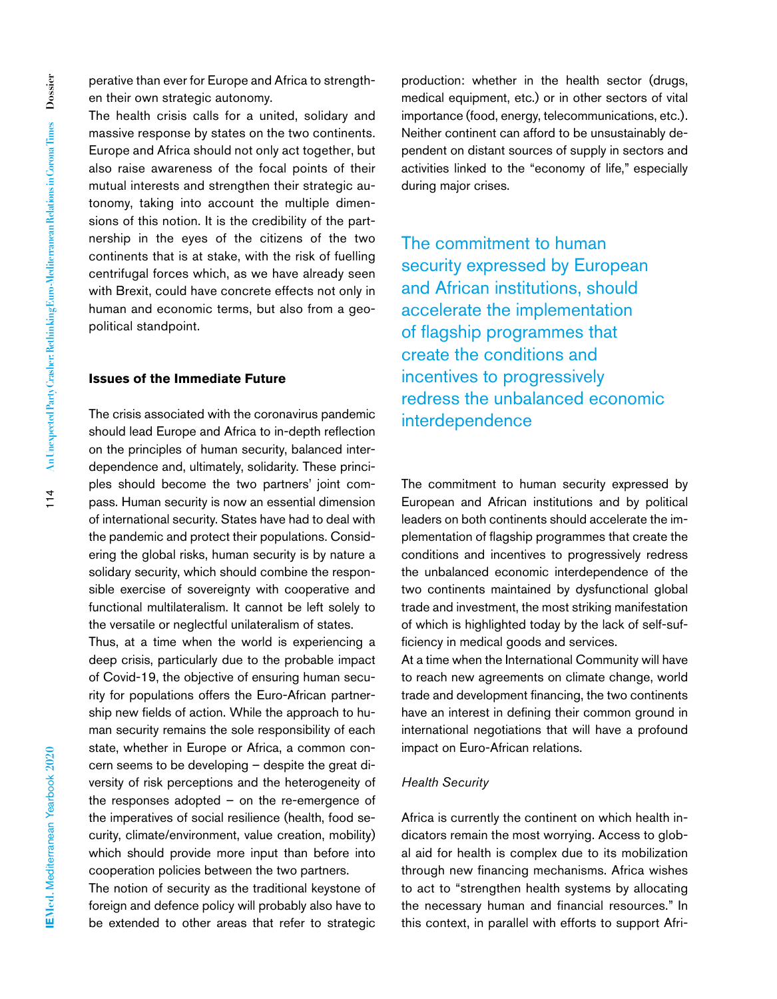perative than ever for Europe and Africa to strengthen their own strategic autonomy.

The health crisis calls for a united, solidary and massive response by states on the two continents. Europe and Africa should not only act together, but also raise awareness of the focal points of their mutual interests and strengthen their strategic autonomy, taking into account the multiple dimensions of this notion. It is the credibility of the partnership in the eyes of the citizens of the two continents that is at stake, with the risk of fuelling centrifugal forces which, as we have already seen with Brexit, could have concrete effects not only in human and economic terms, but also from a geopolitical standpoint.

#### **Issues of the Immediate Future**

The crisis associated with the coronavirus pandemic should lead Europe and Africa to in-depth reflection on the principles of human security, balanced interdependence and, ultimately, solidarity. These principles should become the two partners' joint compass. Human security is now an essential dimension of international security. States have had to deal with the pandemic and protect their populations. Considering the global risks, human security is by nature a solidary security, which should combine the responsible exercise of sovereignty with cooperative and functional multilateralism. It cannot be left solely to the versatile or neglectful unilateralism of states.

Thus, at a time when the world is experiencing a deep crisis, particularly due to the probable impact of Covid-19, the objective of ensuring human security for populations offers the Euro-African partnership new fields of action. While the approach to human security remains the sole responsibility of each state, whether in Europe or Africa, a common concern seems to be developing – despite the great diversity of risk perceptions and the heterogeneity of the responses adopted – on the re-emergence of the imperatives of social resilience (health, food security, climate/environment, value creation, mobility) which should provide more input than before into cooperation policies between the two partners.

The notion of security as the traditional keystone of foreign and defence policy will probably also have to be extended to other areas that refer to strategic production: whether in the health sector (drugs, medical equipment, etc.) or in other sectors of vital importance (food, energy, telecommunications, etc.). Neither continent can afford to be unsustainably dependent on distant sources of supply in sectors and activities linked to the "economy of life," especially during major crises.

The commitment to human security expressed by European and African institutions, should accelerate the implementation of flagship programmes that create the conditions and incentives to progressively redress the unbalanced economic interdependence

The commitment to human security expressed by European and African institutions and by political leaders on both continents should accelerate the implementation of flagship programmes that create the conditions and incentives to progressively redress the unbalanced economic interdependence of the two continents maintained by dysfunctional global trade and investment, the most striking manifestation of which is highlighted today by the lack of self-sufficiency in medical goods and services.

At a time when the International Community will have to reach new agreements on climate change, world trade and development financing, the two continents have an interest in defining their common ground in international negotiations that will have a profound impact on Euro-African relations.

#### *Health Security*

Africa is currently the continent on which health indicators remain the most worrying. Access to global aid for health is complex due to its mobilization through new financing mechanisms. Africa wishes to act to "strengthen health systems by allocating the necessary human and financial resources." In this context, in parallel with efforts to support Afri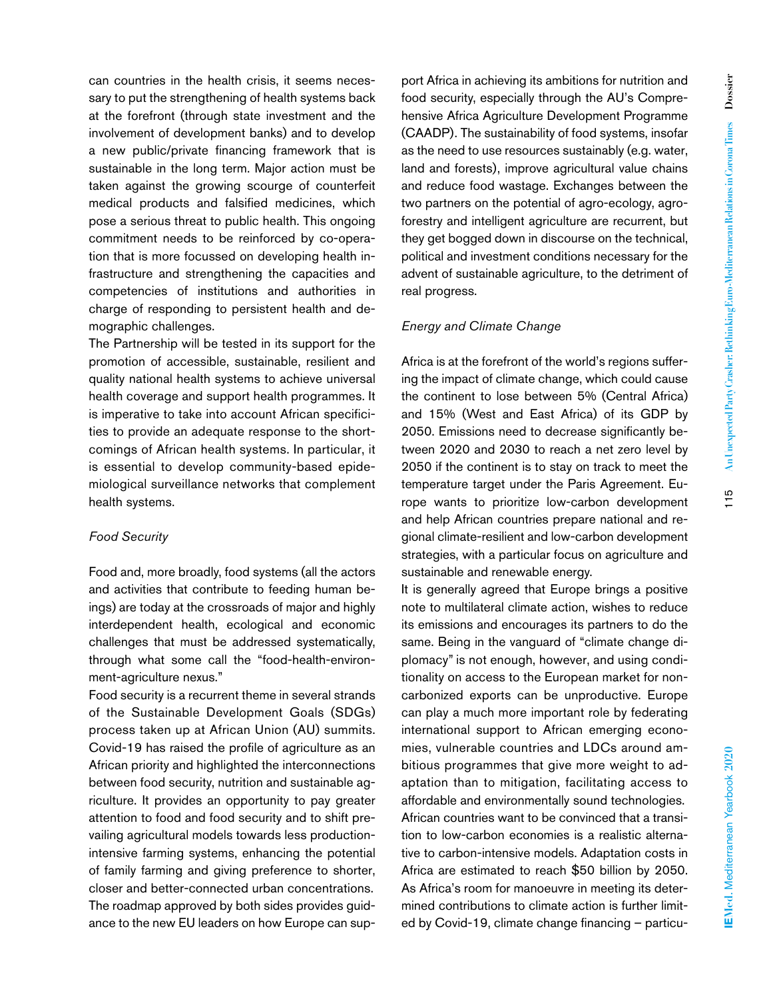can countries in the health crisis, it seems necessary to put the strengthening of health systems back at the forefront (through state investment and the involvement of development banks) and to develop a new public/private financing framework that is sustainable in the long term. Major action must be taken against the growing scourge of counterfeit medical products and falsified medicines, which pose a serious threat to public health. This ongoing commitment needs to be reinforced by co-operation that is more focussed on developing health infrastructure and strengthening the capacities and competencies of institutions and authorities in charge of responding to persistent health and demographic challenges.

The Partnership will be tested in its support for the promotion of accessible, sustainable, resilient and quality national health systems to achieve universal health coverage and support health programmes. It is imperative to take into account African specificities to provide an adequate response to the shortcomings of African health systems. In particular, it is essential to develop community-based epidemiological surveillance networks that complement health systems.

#### *Food Security*

Food and, more broadly, food systems (all the actors and activities that contribute to feeding human beings) are today at the crossroads of major and highly interdependent health, ecological and economic challenges that must be addressed systematically, through what some call the "food-health-environment-agriculture nexus."

Food security is a recurrent theme in several strands of the Sustainable Development Goals (SDGs) process taken up at African Union (AU) summits. Covid-19 has raised the profile of agriculture as an African priority and highlighted the interconnections between food security, nutrition and sustainable agriculture. It provides an opportunity to pay greater attention to food and food security and to shift prevailing agricultural models towards less productionintensive farming systems, enhancing the potential of family farming and giving preference to shorter, closer and better-connected urban concentrations. The roadmap approved by both sides provides guidance to the new EU leaders on how Europe can support Africa in achieving its ambitions for nutrition and food security, especially through the AU's Comprehensive Africa Agriculture Development Programme (CAADP). The sustainability of food systems, insofar as the need to use resources sustainably (e.g. water, land and forests), improve agricultural value chains and reduce food wastage. Exchanges between the two partners on the potential of agro-ecology, agroforestry and intelligent agriculture are recurrent, but they get bogged down in discourse on the technical, political and investment conditions necessary for the advent of sustainable agriculture, to the detriment of real progress.

#### *Energy and Climate Change*

Africa is at the forefront of the world's regions suffering the impact of climate change, which could cause the continent to lose between 5% (Central Africa) and 15% (West and East Africa) of its GDP by 2050. Emissions need to decrease significantly between 2020 and 2030 to reach a net zero level by 2050 if the continent is to stay on track to meet the temperature target under the Paris Agreement. Europe wants to prioritize low-carbon development and help African countries prepare national and regional climate-resilient and low-carbon development strategies, with a particular focus on agriculture and sustainable and renewable energy.

It is generally agreed that Europe brings a positive note to multilateral climate action, wishes to reduce its emissions and encourages its partners to do the same. Being in the vanguard of "climate change diplomacy" is not enough, however, and using conditionality on access to the European market for noncarbonized exports can be unproductive. Europe can play a much more important role by federating international support to African emerging economies, vulnerable countries and LDCs around ambitious programmes that give more weight to adaptation than to mitigation, facilitating access to affordable and environmentally sound technologies. African countries want to be convinced that a transition to low-carbon economies is a realistic alternative to carbon-intensive models. Adaptation costs in Africa are estimated to reach \$50 billion by 2050. As Africa's room for manoeuvre in meeting its determined contributions to climate action is further limited by Covid-19, climate change financing – particu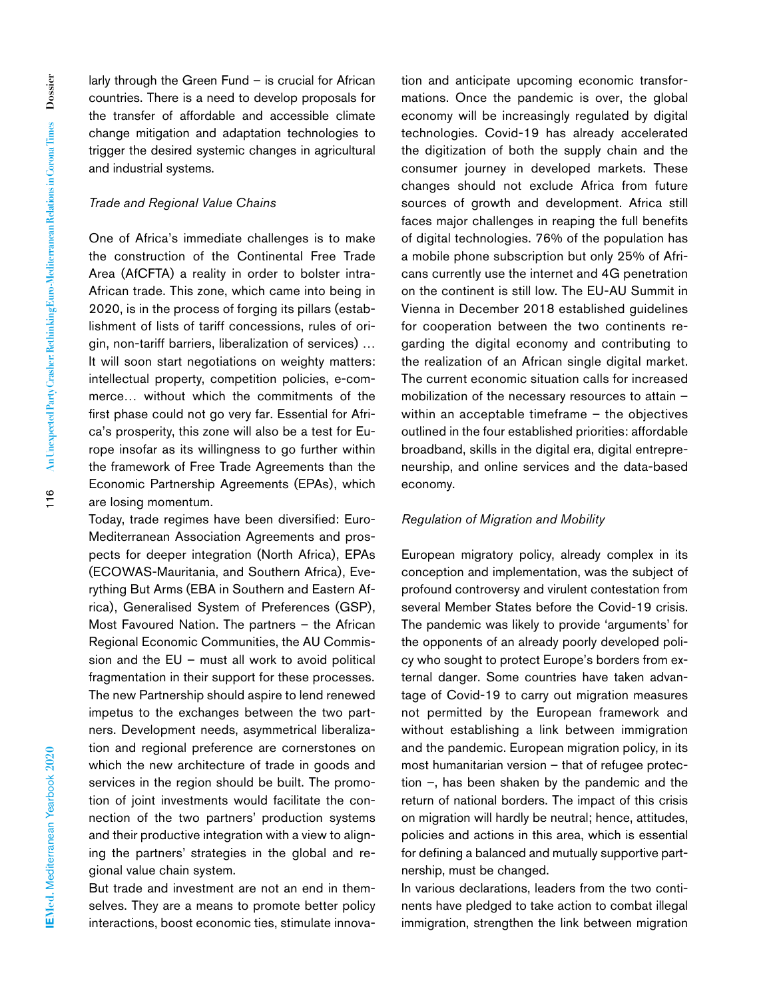larly through the Green Fund – is crucial for African countries. There is a need to develop proposals for the transfer of affordable and accessible climate change mitigation and adaptation technologies to trigger the desired systemic changes in agricultural and industrial systems.

#### *Trade and Regional Value Chains*

One of Africa's immediate challenges is to make the construction of the Continental Free Trade Area (AfCFTA) a reality in order to bolster intra-African trade. This zone, which came into being in 2020, is in the process of forging its pillars (establishment of lists of tariff concessions, rules of origin, non-tariff barriers, liberalization of services) … It will soon start negotiations on weighty matters: intellectual property, competition policies, e-commerce… without which the commitments of the first phase could not go very far. Essential for Africa's prosperity, this zone will also be a test for Europe insofar as its willingness to go further within the framework of Free Trade Agreements than the Economic Partnership Agreements (EPAs), which are losing momentum.

Today, trade regimes have been diversified: Euro-Mediterranean Association Agreements and prospects for deeper integration (North Africa), EPAs (ECOWAS-Mauritania, and Southern Africa), Everything But Arms (EBA in Southern and Eastern Africa), Generalised System of Preferences (GSP), Most Favoured Nation. The partners – the African Regional Economic Communities, the AU Commission and the EU – must all work to avoid political fragmentation in their support for these processes. The new Partnership should aspire to lend renewed impetus to the exchanges between the two partners. Development needs, asymmetrical liberalization and regional preference are cornerstones on which the new architecture of trade in goods and services in the region should be built. The promotion of joint investments would facilitate the connection of the two partners' production systems and their productive integration with a view to aligning the partners' strategies in the global and regional value chain system.

But trade and investment are not an end in themselves. They are a means to promote better policy interactions, boost economic ties, stimulate innova-

tion and anticipate upcoming economic transformations. Once the pandemic is over, the global economy will be increasingly regulated by digital technologies. Covid-19 has already accelerated the digitization of both the supply chain and the consumer journey in developed markets. These changes should not exclude Africa from future sources of growth and development. Africa still faces major challenges in reaping the full benefits of digital technologies. 76% of the population has a mobile phone subscription but only 25% of Africans currently use the internet and 4G penetration on the continent is still low. The EU-AU Summit in Vienna in December 2018 established guidelines for cooperation between the two continents regarding the digital economy and contributing to the realization of an African single digital market. The current economic situation calls for increased mobilization of the necessary resources to attain – within an acceptable timeframe – the objectives outlined in the four established priorities: affordable broadband, skills in the digital era, digital entrepreneurship, and online services and the data-based economy.

#### *Regulation of Migration and Mobility*

European migratory policy, already complex in its conception and implementation, was the subject of profound controversy and virulent contestation from several Member States before the Covid-19 crisis. The pandemic was likely to provide 'arguments' for the opponents of an already poorly developed policy who sought to protect Europe's borders from external danger. Some countries have taken advantage of Covid-19 to carry out migration measures not permitted by the European framework and without establishing a link between immigration and the pandemic. European migration policy, in its most humanitarian version – that of refugee protection –, has been shaken by the pandemic and the return of national borders. The impact of this crisis on migration will hardly be neutral; hence, attitudes, policies and actions in this area, which is essential for defining a balanced and mutually supportive partnership, must be changed.

In various declarations, leaders from the two continents have pledged to take action to combat illegal immigration, strengthen the link between migration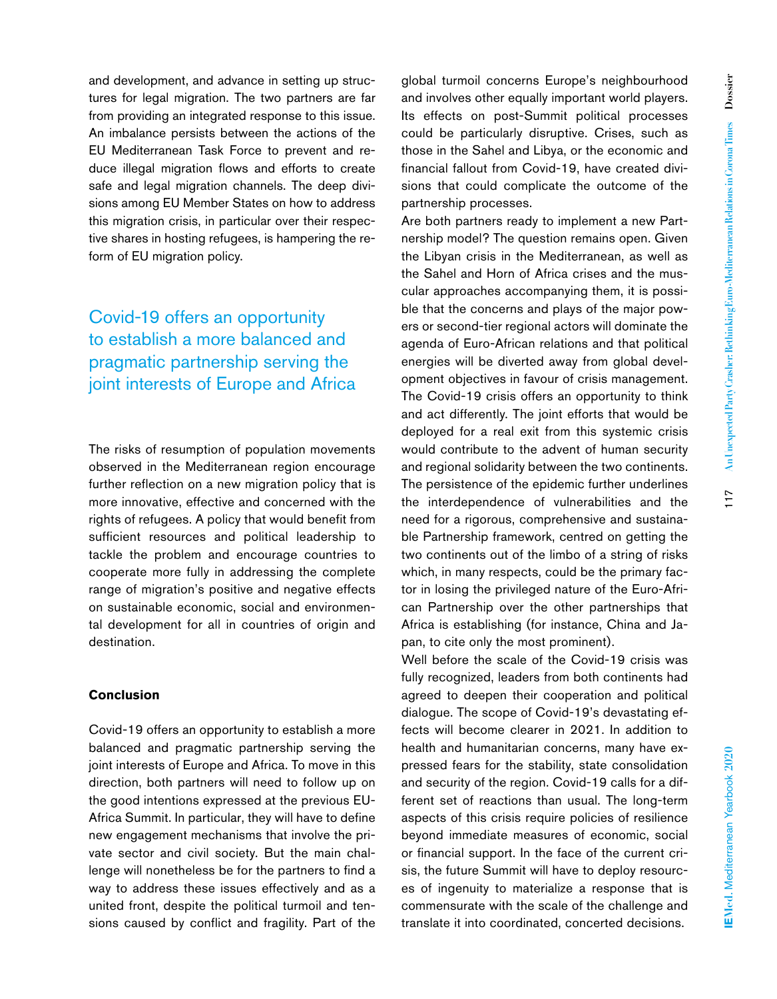and development, and advance in setting up structures for legal migration. The two partners are far from providing an integrated response to this issue. An imbalance persists between the actions of the EU Mediterranean Task Force to prevent and reduce illegal migration flows and efforts to create safe and legal migration channels. The deep divisions among EU Member States on how to address this migration crisis, in particular over their respective shares in hosting refugees, is hampering the reform of EU migration policy.

# Covid-19 offers an opportunity to establish a more balanced and pragmatic partnership serving the joint interests of Europe and Africa

The risks of resumption of population movements observed in the Mediterranean region encourage further reflection on a new migration policy that is more innovative, effective and concerned with the rights of refugees. A policy that would benefit from sufficient resources and political leadership to tackle the problem and encourage countries to cooperate more fully in addressing the complete range of migration's positive and negative effects on sustainable economic, social and environmental development for all in countries of origin and destination.

#### **Conclusion**

Covid-19 offers an opportunity to establish a more balanced and pragmatic partnership serving the joint interests of Europe and Africa. To move in this direction, both partners will need to follow up on the good intentions expressed at the previous EU-Africa Summit. In particular, they will have to define new engagement mechanisms that involve the private sector and civil society. But the main challenge will nonetheless be for the partners to find a way to address these issues effectively and as a united front, despite the political turmoil and tensions caused by conflict and fragility. Part of the

global turmoil concerns Europe's neighbourhood and involves other equally important world players. Its effects on post-Summit political processes could be particularly disruptive. Crises, such as those in the Sahel and Libya, or the economic and financial fallout from Covid-19, have created divisions that could complicate the outcome of the partnership processes.

Are both partners ready to implement a new Partnership model? The question remains open. Given the Libyan crisis in the Mediterranean, as well as the Sahel and Horn of Africa crises and the muscular approaches accompanying them, it is possible that the concerns and plays of the major powers or second-tier regional actors will dominate the agenda of Euro-African relations and that political energies will be diverted away from global development objectives in favour of crisis management. The Covid-19 crisis offers an opportunity to think and act differently. The joint efforts that would be deployed for a real exit from this systemic crisis would contribute to the advent of human security and regional solidarity between the two continents. The persistence of the epidemic further underlines the interdependence of vulnerabilities and the need for a rigorous, comprehensive and sustainable Partnership framework, centred on getting the two continents out of the limbo of a string of risks which, in many respects, could be the primary factor in losing the privileged nature of the Euro-African Partnership over the other partnerships that Africa is establishing (for instance, China and Japan, to cite only the most prominent).

Well before the scale of the Covid-19 crisis was fully recognized, leaders from both continents had agreed to deepen their cooperation and political dialogue. The scope of Covid-19's devastating effects will become clearer in 2021. In addition to health and humanitarian concerns, many have expressed fears for the stability, state consolidation and security of the region. Covid-19 calls for a different set of reactions than usual. The long-term aspects of this crisis require policies of resilience beyond immediate measures of economic, social or financial support. In the face of the current crisis, the future Summit will have to deploy resources of ingenuity to materialize a response that is commensurate with the scale of the challenge and translate it into coordinated, concerted decisions.